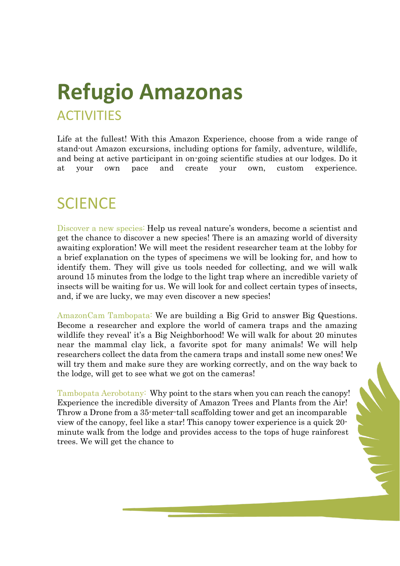# **Refugio Amazonas ACTIVITIES**

Life at the fullest! With this Amazon Experience, choose from a wide range of stand-out Amazon excursions, including options for family, adventure, wildlife, and being at active participant in on-going scientific studies at our lodges. Do it at your own pace and create your own, custom experience.

#### **SCIENCE**

Discover a new species: Help us reveal nature's wonders, become a scientist and get the chance to discover a new species! There is an amazing world of diversity awaiting exploration! We will meet the resident researcher team at the lobby for a brief explanation on the types of specimens we will be looking for, and how to identify them. They will give us tools needed for collecting, and we will walk around 15 minutes from the lodge to the light trap where an incredible variety of insects will be waiting for us. We will look for and collect certain types of insects, and, if we are lucky, we may even discover a new species!

AmazonCam Tambopata: We are building a Big Grid to answer Big Questions. Become a researcher and explore the world of camera traps and the amazing wildlife they reveal' it's a Big Neighborhood! We will walk for about 20 minutes near the mammal clay lick, a favorite spot for many animals! We will help researchers collect the data from the camera traps and install some new ones! We will try them and make sure they are working correctly, and on the way back to the lodge, will get to see what we got on the cameras!

Tambopata Aerobotany:Why point to the stars when you can reach the canopy! Experience the incredible diversity of Amazon Trees and Plants from the Air! Throw a Drone from a 35-meter-tall scaffolding tower and get an incomparable view of the canopy, feel like a star! This canopy tower experience is a quick 20 minute walk from the lodge and provides access to the tops of huge rainforest trees. We will get the chance to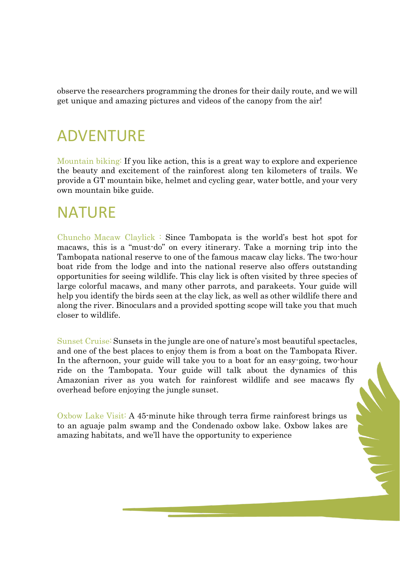observe the researchers programming the drones for their daily route, and we will get unique and amazing pictures and videos of the canopy from the air!

#### ADVENTURE

Mountain biking: If you like action, this is a great way to explore and experience the beauty and excitement of the rainforest along ten kilometers of trails. We provide a GT mountain bike, helmet and cycling gear, water bottle, and your very own mountain bike guide.

### **NATURE**

Chuncho Macaw Claylick : Since Tambopata is the world's best hot spot for macaws, this is a "must-do" on every itinerary. Take a morning trip into the Tambopata national reserve to one of the famous macaw clay licks. The two-hour boat ride from the lodge and into the national reserve also offers outstanding opportunities for seeing wildlife. This clay lick is often visited by three species of large colorful macaws, and many other parrots, and parakeets. Your guide will help you identify the birds seen at the clay lick, as well as other wildlife there and along the river. Binoculars and a provided spotting scope will take you that much closer to wildlife.

Sunset Cruise: Sunsets in the jungle are one of nature's most beautiful spectacles, and one of the best places to enjoy them is from a boat on the Tambopata River. In the afternoon, your guide will take you to a boat for an easy-going, two-hour ride on the Tambopata. Your guide will talk about the dynamics of this Amazonian river as you watch for rainforest wildlife and see macaws fly overhead before enjoying the jungle sunset.

Oxbow Lake Visit: A 45-minute hike through terra firme rainforest brings us to an aguaje palm swamp and the Condenado oxbow lake. Oxbow lakes are amazing habitats, and we'll have the opportunity to experience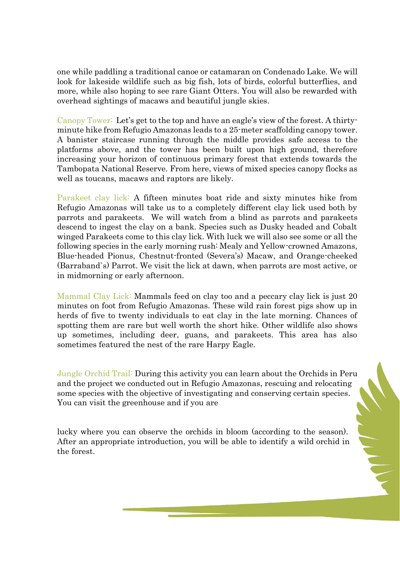one while paddling a traditional canoe or catamaran on Condenado Lake. We will look for lakeside wildlife such as big fish, lots of birds, colorful butterflies, and more, while also hoping to see rare Giant Otters. You will also be rewarded with overhead sightings of macaws and beautiful jungle skies.

Canopy Tower:Let's get to the top and have an eagle's view of the forest. A thirtyminute hike from Refugio Amazonas leads to a 25-meter scaffolding canopy tower. A banister staircase running through the middle provides safe access to the platforms above, and the tower has been built upon high ground, therefore increasing your horizon of continuous primary forest that extends towards the Tambopata National Reserve. From here, views of mixed species canopy flocks as well as toucans, macaws and raptors are likely.

Parakeet clay lick: A fifteen minutes boat ride and sixty minutes hike from Refugio Amazonas will take us to a completely different clay lick used both by parrots and parakeets. We will watch from a blind as parrots and parakeets descend to ingest the clay on a bank. Species such as Dusky headed and Cobalt winged Parakeets come to this clay lick. With luck we will also see some or all the following species in the early morning rush: Mealy and Yellow-crowned Amazons, Blue-headed Pionus, Chestnut-fronted (Severa's) Macaw, and Orange-cheeked (Barraband`s) Parrot. We visit the lick at dawn, when parrots are most active, or in midmorning or early afternoon.

Mammal Clay Lick: Mammals feed on clay too and a peccary clay lick is just 20 minutes on foot from Refugio Amazonas. These wild rain forest pigs show up in herds of five to twenty individuals to eat clay in the late morning. Chances of spotting them are rare but well worth the short hike. Other wildlife also shows up sometimes, including deer, guans, and parakeets. This area has also sometimes featured the nest of the rare Harpy Eagle.

Jungle Orchid Trail: During this activity you can learn about the Orchids in Peru and the project we conducted out in Refugio Amazonas, rescuing and relocating some species with the objective of investigating and conserving certain species. You can visit the greenhouse and if you are

lucky where you can observe the orchids in bloom (according to the season). After an appropriate introduction, you will be able to identify a wild orchid in the forest.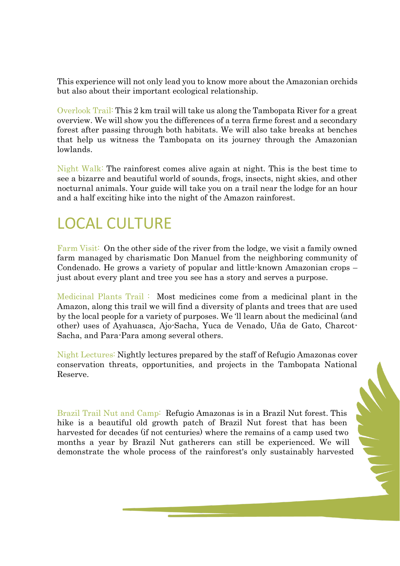This experience will not only lead you to know more about the Amazonian orchids but also about their important ecological relationship.

Overlook Trail: This 2 km trail will take us along the Tambopata River for a great overview. We will show you the differences of a terra firme forest and a secondary forest after passing through both habitats. We will also take breaks at benches that help us witness the Tambopata on its journey through the Amazonian lowlands.

Night Walk: The rainforest comes alive again at night. This is the best time to see a bizarre and beautiful world of sounds, frogs, insects, night skies, and other nocturnal animals. Your guide will take you on a trail near the lodge for an hour and a half exciting hike into the night of the Amazon rainforest.

# LOCAL CULTURE

Farm Visit: On the other side of the river from the lodge, we visit a family owned farm managed by charismatic Don Manuel from the neighboring community of Condenado. He grows a variety of popular and little-known Amazonian crops – just about every plant and tree you see has a story and serves a purpose.

Medicinal Plants Trail : Most medicines come from a medicinal plant in the Amazon, along this trail we will find a diversity of plants and trees that are used by the local people for a variety of purposes. We 'll learn about the medicinal (and other) uses of Ayahuasca, Ajo-Sacha, Yuca de Venado, Uña de Gato, Charcot-Sacha, and Para-Para among several others.

Night Lectures: Nightly lectures prepared by the staff of Refugio Amazonas cover conservation threats, opportunities, and projects in the Tambopata National Reserve.

Brazil Trail Nut and Camp:Refugio Amazonas is in a Brazil Nut forest. This hike is a beautiful old growth patch of Brazil Nut forest that has been harvested for decades (if not centuries) where the remains of a camp used two months a year by Brazil Nut gatherers can still be experienced. We will demonstrate the whole process of the rainforest's only sustainably harvested